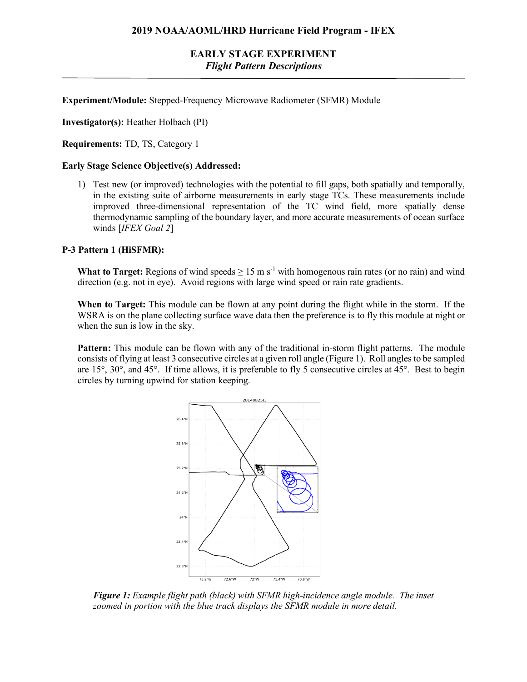# **EARLY STAGE EXPERIMENT** *Flight Pattern Descriptions*

**Experiment/Module:** Stepped-Frequency Microwave Radiometer (SFMR) Module

**Investigator(s):** Heather Holbach (PI)

**Requirements:** TD, TS, Category 1

## **Early Stage Science Objective(s) Addressed:**

1) Test new (or improved) technologies with the potential to fill gaps, both spatially and temporally, in the existing suite of airborne measurements in early stage TCs. These measurements include improved three-dimensional representation of the TC wind field, more spatially dense thermodynamic sampling of the boundary layer, and more accurate measurements of ocean surface winds [*IFEX Goal 2*]

#### **P-3 Pattern 1 (HiSFMR):**

**What to Target:** Regions of wind speeds  $\geq 15$  m s<sup>-1</sup> with homogenous rain rates (or no rain) and wind direction (e.g. not in eye). Avoid regions with large wind speed or rain rate gradients.

**When to Target:** This module can be flown at any point during the flight while in the storm. If the WSRA is on the plane collecting surface wave data then the preference is to fly this module at night or when the sun is low in the sky.

Pattern: This module can be flown with any of the traditional in-storm flight patterns. The module consists of flying at least 3 consecutive circles at a given roll angle (Figure 1). Roll angles to be sampled are 15°, 30°, and 45°. If time allows, it is preferable to fly 5 consecutive circles at 45°. Best to begin circles by turning upwind for station keeping.



*Figure 1: Example flight path (black) with SFMR high-incidence angle module. The inset zoomed in portion with the blue track displays the SFMR module in more detail.*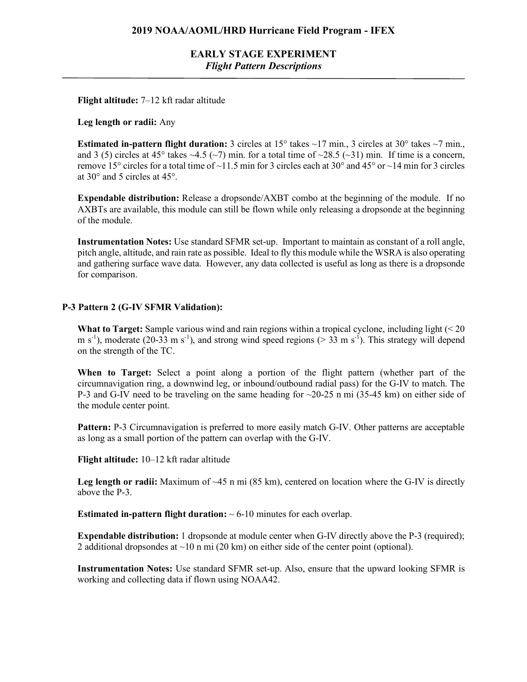**EARLY STAGE EXPERIMENT** *Flight Pattern Descriptions*

**Flight altitude:** 7–12 kft radar altitude

#### **Leg length or radii:** Any

**Estimated in-pattern flight duration:** 3 circles at  $15^{\circ}$  takes  $\sim$ 17 min., 3 circles at  $30^{\circ}$  takes  $\sim$ 7 min., and 3 (5) circles at 45° takes  $\sim$ 4.5 ( $\sim$ 7) min. for a total time of  $\sim$ 28.5 ( $\sim$ 31) min. If time is a concern, remove 15° circles for a total time of ~11.5 min for 3 circles each at 30° and 45° or ~14 min for 3 circles at 30° and 5 circles at 45°.

**Expendable distribution:** Release a dropsonde/AXBT combo at the beginning of the module. If no AXBTs are available, this module can still be flown while only releasing a dropsonde at the beginning of the module.

**Instrumentation Notes:** Use standard SFMR set-up. Important to maintain as constant of a roll angle, pitch angle, altitude, and rain rate as possible. Ideal to fly this module while the WSRA is also operating and gathering surface wave data. However, any data collected is useful as long as there is a dropsonde for comparison.

## **P-3 Pattern 2 (G-IV SFMR Validation):**

**What to Target:** Sample various wind and rain regions within a tropical cyclone, including light (< 20 m s<sup>-1</sup>), moderate (20-33 m s<sup>-1</sup>), and strong wind speed regions ( $>$  33 m s<sup>-1</sup>). This strategy will depend on the strength of the TC.

**When to Target:** Select a point along a portion of the flight pattern (whether part of the circumnavigation ring, a downwind leg, or inbound/outbound radial pass) for the G-IV to match. The P-3 and G-IV need to be traveling on the same heading for  $\sim$ 20-25 n mi (35-45 km) on either side of the module center point.

Pattern: P-3 Circumnavigation is preferred to more easily match G-IV. Other patterns are acceptable as long as a small portion of the pattern can overlap with the G-IV.

**Flight altitude:** 10–12 kft radar altitude

**Leg length or radii:** Maximum of ~45 n mi (85 km), centered on location where the G-IV is directly above the P-3.

**Estimated in-pattern flight duration:**  $\sim 6{\text -}10$  minutes for each overlap.

**Expendable distribution:** 1 dropsonde at module center when G-IV directly above the P-3 (required); 2 additional dropsondes at  $\sim$ 10 n mi (20 km) on either side of the center point (optional).

**Instrumentation Notes:** Use standard SFMR set-up. Also, ensure that the upward looking SFMR is working and collecting data if flown using NOAA42.